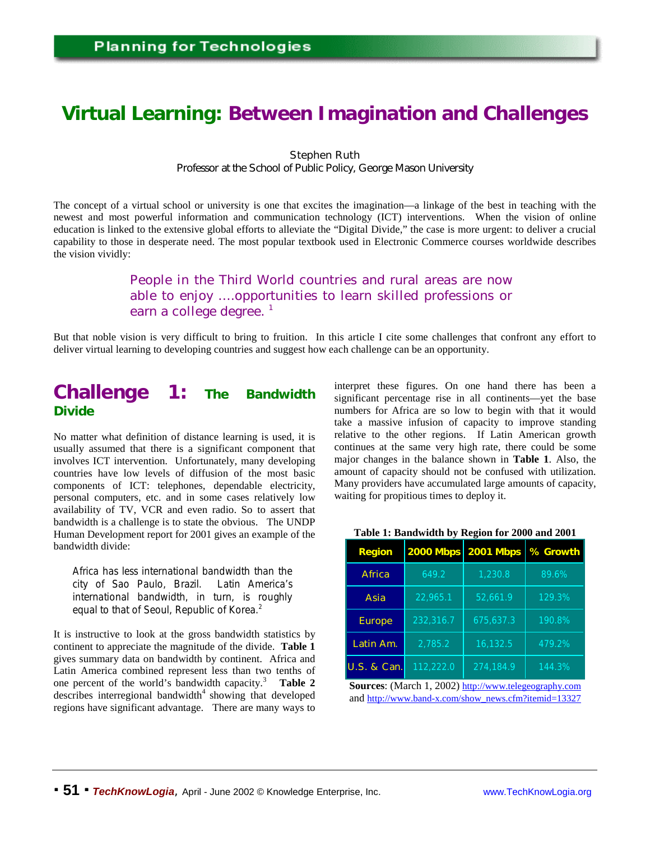# **Virtual Learning: Between Imagination and Challenges**

#### Stephen Ruth

*Professor at the School of Public Policy, George Mason University*

The concept of a virtual school or university is one that excites the imagination—a linkage of the best in teaching with the newest and most powerful information and communication technology (ICT) interventions. When the vision of online education is linked to the extensive global efforts to alleviate the "Digital Divide," the case is more urgent: to deliver a crucial capability to those in desperate need. The most popular textbook used in Electronic Commerce courses worldwide describes the vision vividly:

### People in the Third World countries and rural areas are now able to enjoy ….opportunities to learn skilled professions or earn a college degree.  $<sup>1</sup>$ </sup>

But that noble vision is very difficult to bring to fruition. In this article I cite some challenges that confront any effort to deliver virtual learning to developing countries and suggest how each challenge can be an opportunity.

# **Challenge 1: The Bandwidth Divide**

No matter what definition of distance learning is used, it is usually assumed that there is a significant component that involves ICT intervention. Unfortunately, many developing countries have low levels of diffusion of the most basic components of ICT: telephones, dependable electricity, personal computers, etc. and in some cases relatively low availability of TV, VCR and even radio. So to assert that bandwidth is a challenge is to state the obvious. The UNDP Human Development report for 2001 gives an example of the bandwidth divide:

Africa has less international bandwidth than the city of Sao Paulo, Brazil. Latin America's international bandwidth, in turn, is roughly equal to that of Seoul, Republic of Korea.<sup>2</sup>

It is instructive to look at the gross bandwidth statistics by continent to appreciate the magnitude of the divide. **Table 1** gives summary data on bandwidth by continent. Africa and Latin America combined represent less than two tenths of one percent of the world's bandwidth capacity.<sup>3</sup> **Table 2** describes interregional bandwidth<sup>4</sup> showing that developed regions have significant advantage. There are many ways to

interpret these figures. On one hand there has been a significant percentage rise in all continents—yet the base numbers for Africa are so low to begin with that it would take a massive infusion of capacity to improve standing relative to the other regions. If Latin American growth continues at the same very high rate, there could be some major changes in the balance shown in **Table 1**. Also, the amount of capacity should not be confused with utilization. Many providers have accumulated large amounts of capacity, waiting for propitious times to deploy it.

| <b>Region</b>          | 2000 Mbps | 2001 Mbps | % Growth |
|------------------------|-----------|-----------|----------|
| <b>Africa</b>          | 649.2     | 1,230.8   | 89.6%    |
| <b>Asia</b>            | 22,965.1  | 52,661.9  | 129.3%   |
| <b>Europe</b>          | 232,316.7 | 675,637.3 | 190.8%   |
| Latin Am.              | 2,785.2   | 16,132.5  | 479.2%   |
| <b>U.S. &amp; Can.</b> | 112,222.0 | 274,184.9 | 144.3%   |

**Table 1: Bandwidth by Region for 2000 and 2001**

**Sources**: (March 1, 2002) http://www.telegeography.com and http://www.band-x.com/show\_news.cfm?itemid=13327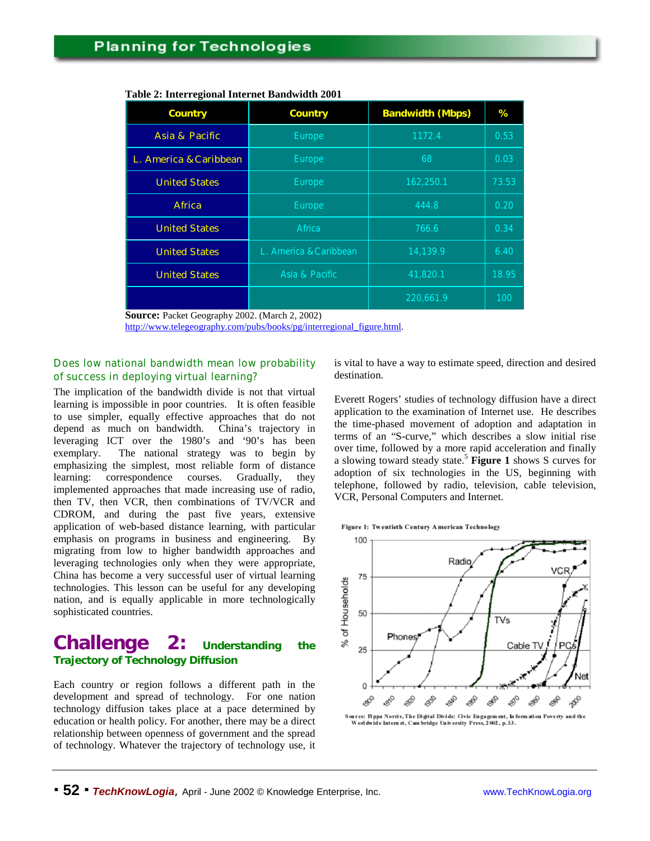| Country                   | Country                | <b>Bandwidth (Mbps)</b> | %     |
|---------------------------|------------------------|-------------------------|-------|
| <b>Asia &amp; Pacific</b> | <b>Europe</b>          | 1172.4                  | 0.53  |
| L. America & Caribbean    | <b>Europe</b>          | 68                      | 0.03  |
| <b>United States</b>      | <b>Europe</b>          | 162,250.1               | 73.53 |
| <b>Africa</b>             | <b>Europe</b>          | 444.8                   | 0.20  |
| <b>United States</b>      | Africa                 | 766.6                   | 0.34  |
| <b>United States</b>      | L. America & Caribbean | 14,139.9                | 6.40  |
| <b>United States</b>      | Asia & Pacific         | 41,820.1                | 18.95 |
|                           |                        | 220,661.9               | 100   |

#### **Table 2: Interregional Internet Bandwidth 2001**

**Source:** Packet Geography 2002. (March 2, 2002)

http://www.telegeography.com/pubs/books/pg/interregional\_figure.html.

#### *Does low national bandwidth mean low probability of success in deploying virtual learning?*

The implication of the bandwidth divide is not that virtual learning is impossible in poor countries. It is often feasible to use simpler, equally effective approaches that do not depend as much on bandwidth. China's trajectory in leveraging ICT over the 1980's and '90's has been exemplary. The national strategy was to begin by emphasizing the simplest, most reliable form of distance learning: correspondence courses. Gradually, they implemented approaches that made increasing use of radio, then TV, then VCR, then combinations of TV/VCR and CDROM, and during the past five years, extensive application of web-based distance learning, with particular emphasis on programs in business and engineering. By migrating from low to higher bandwidth approaches and leveraging technologies only when they were appropriate, China has become a very successful user of virtual learning technologies. This lesson can be useful for any developing nation, and is equally applicable in more technologically sophisticated countries.

### **Challenge 2: Understanding the Trajectory of Technology Diffusion**

Each country or region follows a different path in the development and spread of technology. For one nation technology diffusion takes place at a pace determined by education or health policy. For another, there may be a direct relationship between openness of government and the spread of technology. Whatever the trajectory of technology use, it is vital to have a way to estimate speed, direction and desired destination.

Everett Rogers' studies of technology diffusion have a direct application to the examination of Internet use. He describes the time-phased movement of adoption and adaptation in terms of an "S-curve," which describes a slow initial rise over time, followed by a more rapid acceleration and finally a slowing toward steady state.<sup>5</sup> **Figure 1** shows S curves for adoption of six technologies in the US, beginning with telephone, followed by radio, television, cable television, VCR, Personal Computers and Internet.

Figure 1: Twentieth Century American Technology



Worldwide Internet, Cambridge University Press, 2002, p.33.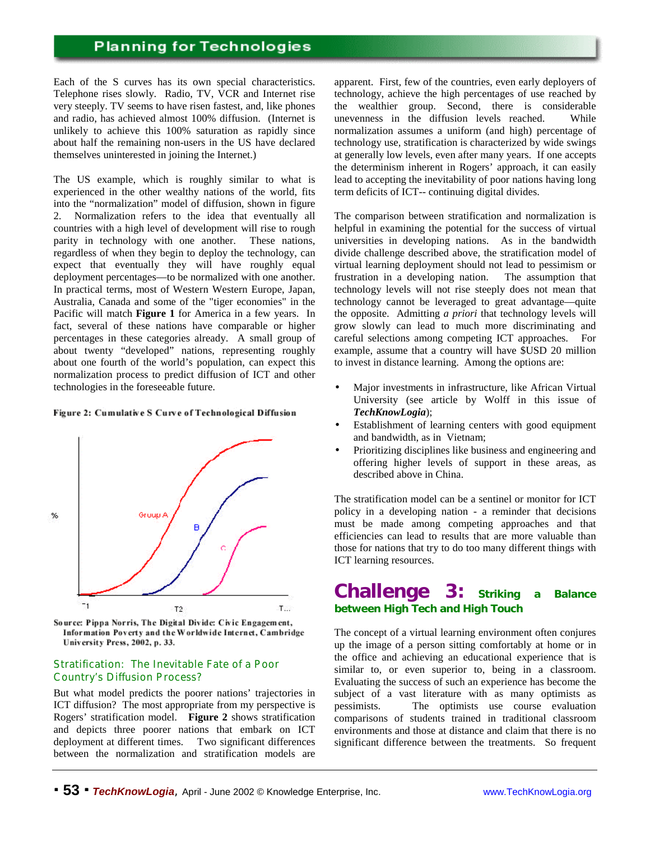Each of the S curves has its own special characteristics. Telephone rises slowly. Radio, TV, VCR and Internet rise very steeply. TV seems to have risen fastest, and, like phones and radio, has achieved almost 100% diffusion. (Internet is unlikely to achieve this 100% saturation as rapidly since about half the remaining non-users in the US have declared themselves uninterested in joining the Internet.)

The US example, which is roughly similar to what is experienced in the other wealthy nations of the world, fits into the "normalization" model of diffusion, shown in figure 2. Normalization refers to the idea that eventually all countries with a high level of development will rise to rough parity in technology with one another. These nations, regardless of when they begin to deploy the technology, can expect that eventually they will have roughly equal deployment percentages—to be normalized with one another. In practical terms, most of Western Western Europe, Japan, Australia, Canada and some of the "tiger economies" in the Pacific will match **Figure 1** for America in a few years. In fact, several of these nations have comparable or higher percentages in these categories already. A small group of about twenty "developed" nations, representing roughly about one fourth of the world's population, can expect this normalization process to predict diffusion of ICT and other technologies in the foreseeable future.

#### Figure 2: Cumulative S Curve of Technological Diffusion



Source: Pippa Norris, The Digital Divide: Civic Engagement, Information Poverty and the Worldwide Internet, Cambridge University Press, 2002, p. 33.

#### *Stratification: The Inevitable Fate of a Poor Country's Diffusion Process?*

But what model predicts the poorer nations' trajectories in ICT diffusion? The most appropriate from my perspective is Rogers' stratification model. **Figure 2** shows stratification and depicts three poorer nations that embark on ICT deployment at different times. Two significant differences between the normalization and stratification models are

apparent. First, few of the countries, even early deployers of technology, achieve the high percentages of use reached by the wealthier group. Second, there is considerable unevenness in the diffusion levels reached. While normalization assumes a uniform (and high) percentage of technology use, stratification is characterized by wide swings at generally low levels, even after many years. If one accepts the determinism inherent in Rogers' approach, it can easily lead to accepting the inevitability of poor nations having long term deficits of ICT-- continuing digital divides.

The comparison between stratification and normalization is helpful in examining the potential for the success of virtual universities in developing nations. As in the bandwidth divide challenge described above, the stratification model of virtual learning deployment should not lead to pessimism or frustration in a developing nation. The assumption that technology levels will not rise steeply does not mean that technology cannot be leveraged to great advantage—quite the opposite. Admitting *a priori* that technology levels will grow slowly can lead to much more discriminating and careful selections among competing ICT approaches. For example, assume that a country will have \$USD 20 million to invest in distance learning. Among the options are:

- Major investments in infrastructure, like African Virtual University (see article by Wolff in this issue of *TechKnowLogia*);
- Establishment of learning centers with good equipment and bandwidth, as in Vietnam;
- Prioritizing disciplines like business and engineering and offering higher levels of support in these areas, as described above in China.

The stratification model can be a sentinel or monitor for ICT policy in a developing nation - a reminder that decisions must be made among competing approaches and that efficiencies can lead to results that are more valuable than those for nations that try to do too many different things with ICT learning resources.

# **Challenge 3: Striking a Balance between High Tech and High Touch**

The concept of a virtual learning environment often conjures up the image of a person sitting comfortably at home or in the office and achieving an educational experience that is similar to, or even superior to, being in a classroom. Evaluating the success of such an experience has become the subject of a vast literature with as many optimists as pessimists. The optimists use course evaluation comparisons of students trained in traditional classroom environments and those at distance and claim that there is no significant difference between the treatments. So frequent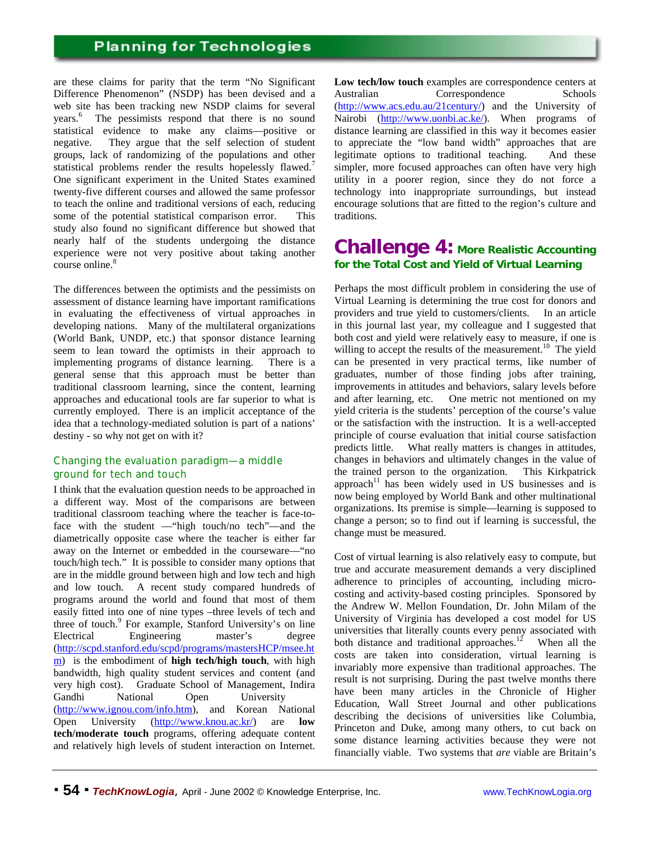are these claims for parity that the term "No Significant Difference Phenomenon" (NSDP) has been devised and a web site has been tracking new NSDP claims for several years.<sup>6</sup> The pessimists respond that there is no sound statistical evidence to make any claims—positive or negative. They argue that the self selection of student groups, lack of randomizing of the populations and other statistical problems render the results hopelessly flawed.<sup>7</sup> One significant experiment in the United States examined twenty-five different courses and allowed the same professor to teach the online and traditional versions of each, reducing some of the potential statistical comparison error. This study also found no significant difference but showed that nearly half of the students undergoing the distance experience were not very positive about taking another course online.<sup>8</sup>

The differences between the optimists and the pessimists on assessment of distance learning have important ramifications in evaluating the effectiveness of virtual approaches in developing nations. Many of the multilateral organizations (World Bank, UNDP, etc.) that sponsor distance learning seem to lean toward the optimists in their approach to implementing programs of distance learning. There is a general sense that this approach must be better than traditional classroom learning, since the content, learning approaches and educational tools are far superior to what is currently employed. There is an implicit acceptance of the idea that a technology-mediated solution is part of a nations' destiny - so why not get on with it?

#### *Changing the evaluation paradigm—a middle ground for tech and touch*

I think that the evaluation question needs to be approached in a different way. Most of the comparisons are between traditional classroom teaching where the teacher is face-toface with the student —"high touch/no tech"—and the diametrically opposite case where the teacher is either far away on the Internet or embedded in the courseware—"no touch/high tech." It is possible to consider many options that are in the middle ground between high and low tech and high and low touch. A recent study compared hundreds of programs around the world and found that most of them easily fitted into one of nine types –three levels of tech and three of touch.<sup>9</sup> For example, Stanford University's on line Electrical Engineering master's degree (http://scpd.stanford.edu/scpd/programs/mastersHCP/msee.ht m) is the embodiment of **high tech/high touch**, with high bandwidth, high quality student services and content (and very high cost). Graduate School of Management, Indira Gandhi National Open University (http://www.ignou.com/info.htm), and Korean National Open University (http://www.knou.ac.kr/) are **low tech/moderate touch** programs, offering adequate content and relatively high levels of student interaction on Internet.

**Low tech/low touch** examples are correspondence centers at Australian Correspondence Schools (http://www.acs.edu.au/21century/) and the University of Nairobi (http://www.uonbi.ac.ke/). When programs of distance learning are classified in this way it becomes easier to appreciate the "low band width" approaches that are legitimate options to traditional teaching. And these simpler, more focused approaches can often have very high utility in a poorer region, since they do not force a technology into inappropriate surroundings, but instead encourage solutions that are fitted to the region's culture and traditions.

### **Challenge 4: More Realistic Accounting for the Total Cost and Yield of Virtual Learning**

Perhaps the most difficult problem in considering the use of Virtual Learning is determining the true cost for donors and providers and true yield to customers/clients. In an article in this journal last year, my colleague and I suggested that both cost and yield were relatively easy to measure, if one is willing to accept the results of the measurement.<sup>10</sup> The yield can be presented in very practical terms, like number of graduates, number of those finding jobs after training, improvements in attitudes and behaviors, salary levels before and after learning, etc. One metric not mentioned on my yield criteria is the students' perception of the course's value or the satisfaction with the instruction. It is a well-accepted principle of course evaluation that initial course satisfaction predicts little. What really matters is changes in attitudes, changes in behaviors and ultimately changes in the value of the trained person to the organization. This Kirkpatrick approach<sup>11</sup> has been widely used in US businesses and is now being employed by World Bank and other multinational organizations. Its premise is simple—learning is supposed to change a person; so to find out if learning is successful, the change must be measured.

Cost of virtual learning is also relatively easy to compute, but true and accurate measurement demands a very disciplined adherence to principles of accounting, including microcosting and activity-based costing principles. Sponsored by the Andrew W. Mellon Foundation, Dr. John Milam of the University of Virginia has developed a cost model for US universities that literally counts every penny associated with both distance and traditional approaches.<sup>12</sup> When all the costs are taken into consideration, virtual learning is invariably more expensive than traditional approaches. The result is not surprising. During the past twelve months there have been many articles in the Chronicle of Higher Education, Wall Street Journal and other publications describing the decisions of universities like Columbia, Princeton and Duke, among many others, to cut back on some distance learning activities because they were not financially viable. Two systems that *are* viable are Britain's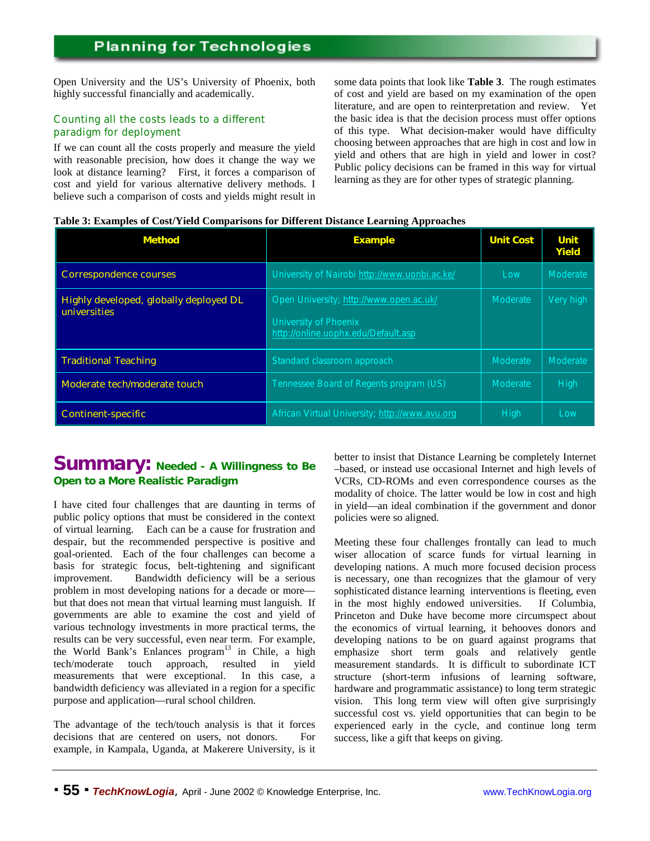Open University and the US's University of Phoenix, both highly successful financially and academically.

#### *Counting all the costs leads to a different paradigm for deployment*

If we can count all the costs properly and measure the yield with reasonable precision, how does it change the way we look at distance learning? First, it forces a comparison of cost and yield for various alternative delivery methods. I believe such a comparison of costs and yields might result in

some data points that look like **Table 3**. The rough estimates of cost and yield are based on my examination of the open literature, and are open to reinterpretation and review. Yet the basic idea is that the decision process must offer options of this type. What decision-maker would have difficulty choosing between approaches that are high in cost and low in yield and others that are high in yield and lower in cost? Public policy decisions can be framed in this way for virtual learning as they are for other types of strategic planning.

#### **Table 3: Examples of Cost/Yield Comparisons for Different Distance Learning Approaches**

| <b>Method</b>                                                 | <b>Example</b>                                                                                          | <b>Unit Cost</b> | Unit<br>Yield |
|---------------------------------------------------------------|---------------------------------------------------------------------------------------------------------|------------------|---------------|
| <b>Correspondence courses</b>                                 | University of Nairobi http://www.uonbi.ac.ke/                                                           | Low              | Moderate      |
| Highly developed, globally deployed DL<br><b>universities</b> | Open University; http://www.open.ac.uk/<br>University of Phoenix<br>http://online.uophx.edu/Default.asp | <b>Moderate</b>  | Very high     |
| <b>Traditional Teaching</b>                                   | Standard classroom approach                                                                             | <b>Moderate</b>  | Moderate      |
| Moderate tech/moderate touch                                  | Tennessee Board of Regents program (US)                                                                 | Moderate         | High          |
| <b>Continent-specific</b>                                     | African Virtual University; http://www.avu.org                                                          | High             | Low           |

### **Summary: Needed - A Willingness to Be Open to a More Realistic Paradigm**

I have cited four challenges that are daunting in terms of public policy options that must be considered in the context of virtual learning. Each can be a cause for frustration and despair, but the recommended perspective is positive and goal-oriented. Each of the four challenges can become a basis for strategic focus, belt-tightening and significant improvement. Bandwidth deficiency will be a serious problem in most developing nations for a decade or more but that does not mean that virtual learning must languish. If governments are able to examine the cost and yield of various technology investments in more practical terms, the results can be very successful, even near term. For example, the World Bank's Enlances  $program^{13}$  in Chile, a high tech/moderate touch approach, resulted in yield measurements that were exceptional. In this case, a bandwidth deficiency was alleviated in a region for a specific purpose and application—rural school children.

The advantage of the tech/touch analysis is that it forces decisions that are centered on users, not donors. For example, in Kampala, Uganda, at Makerere University, is it better to insist that Distance Learning be completely Internet –based, or instead use occasional Internet and high levels of VCRs, CD-ROMs and even correspondence courses as the modality of choice. The latter would be low in cost and high in yield—an ideal combination if the government and donor policies were so aligned.

Meeting these four challenges frontally can lead to much wiser allocation of scarce funds for virtual learning in developing nations. A much more focused decision process is necessary, one than recognizes that the glamour of very sophisticated distance learning interventions is fleeting, even in the most highly endowed universities. If Columbia, Princeton and Duke have become more circumspect about the economics of virtual learning, it behooves donors and developing nations to be on guard against programs that emphasize short term goals and relatively gentle measurement standards. It is difficult to subordinate ICT structure (short-term infusions of learning software, hardware and programmatic assistance) to long term strategic vision. This long term view will often give surprisingly successful cost vs. yield opportunities that can begin to be experienced early in the cycle, and continue long term success, like a gift that keeps on giving.